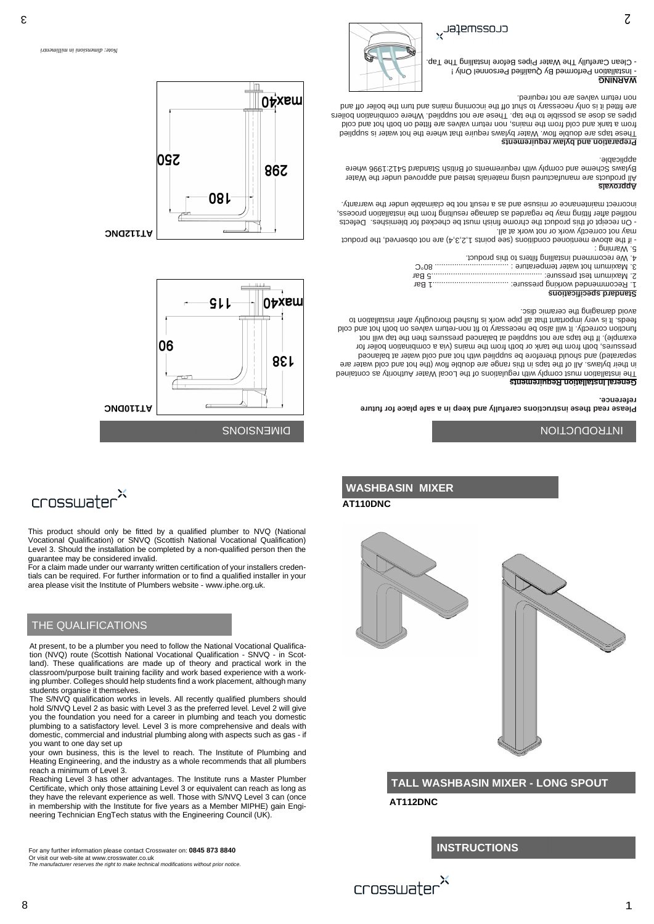*Note: dimensioni in millimentri*



**WASHBASIN MIXER**

# **INSTRUCTIONS**



# **TALL WASHBASIN MIXER - LONG SPOUT**

**AT112DNC**

# **AT110DNC**

This product should only be fitted by a qualified plumber to NVQ (National Vocational Qualification) or SNVQ (Scottish National Vocational Qualification) Level 3. Should the installation be completed by a non-qualified person then the guarantee may be considered invalid.



For a claim made under our warranty written certification of your installers credentials can be required. For further information or to find a qualified installer in your



area please visit the Institute of Plumbers website - www.iphe.org.uk.

At present, to be a plumber you need to follow the National Vocational Qualification (NVQ) route (Scottish National Vocational Qualification - SNVQ - in Scotland). These qualifications are made up of theory and practical work in the classroom/purpose built training facility and work based experience with a working plumber. Colleges should help students find a work placement, although many students organise it themselves.

# THE QUALIFICATIONS



The S/NVQ qualification works in levels. All recently qualified plumbers should hold S/NVQ Level 2 as basic with Level 3 as the preferred level. Level 2 will give you the foundation you need for a career in plumbing and teach you domestic plumbing to a satisfactory level. Level 3 is more comprehensive and deals with domestic, commercial and industrial plumbing along with aspects such as gas - if you want to one day set up your own business, this is the level to reach. The Institute of Plumbing and Heating Engineering, and the industry as a whole recommends that all plumbers reach a minimum of Level 3. Reaching Level 3 has other advantages. The Institute runs a Master Plumber Certificate, which only those attaining Level 3 or equivalent can reach as long as they have the relevant experience as well. Those with S/NVQ Level 3 can (once in membership with the Institute for five years as a Member MIPHE) gain Engineering Technician EngTech status with the Engineering Council (UK).

For any further information please contact Crosswater on: **0845 873 8840** Or visit our web-site at www.crosswater.co.uk *The manufacturer reserves the right to make technical modifications without prior notice.*





**Please read these instructions carefully and keep in a safe place for future reference.**

#### **General Installation Requirements**

The installation must comply with regulations of the Local Water Authority as contained in their bylaws. All of the taps in this range are double flow (the hot and cold water are separated) and should therefore be supplied with hot and cold water at balanced pressures, both from the tank or both from the mains (via a combination boiler for example). If the taps are not supplied at balanced pressures then the tap will not function correctly. It will also be necessary to fit non-return valves on both hot and cold feeds. It is very important that all pipe work is horal behavior to the differ installation to avoid damaging the ceramic disc.

#### **Standard specifications**

|            | <b>QUABRAILIAARA BIRBUNIA</b>                       |
|------------|-----------------------------------------------------|
|            |                                                     |
|            |                                                     |
| $\Omega_0$ |                                                     |
|            | 4. We recommend installing filters to this product. |

4. We recommend installing filters to this product.

5. Warning :

- if the above mentioned conditions (see points 1,2,3,4) are not observed, the product

may not correctly work or not work at all.

- On receipt of this product the chrome finish must be checked for blemishes. Defects notified after fitting may be regarded as damage resulting from the installation process, incorrect maintenance or misuse and as a result not be claimable under the warranty.

#### **Approvals**

All products are manufactured using materials tested and approved under the Water Bylaws Scheme and comply with requirements of British Standard 5412:1996 where applicable.

#### **Preparation and bylaw requirements**

These taps are double flow. Water bylaws require that where the hot water is supplied from a tank and cold from the mains, non return valves are fitted on both hot and cold pipes as dose as possible to the tap. These are not supplied. Where combination boilers brus the ditted it is some the is shown that it is also ship of the ship of the income purit are purited as the i non return valves are not required.

**WARNING**

- Installation Performed By Qualified Personnel Only !



# $\overline{\mathcal{S}}$

# INTRODUCTION